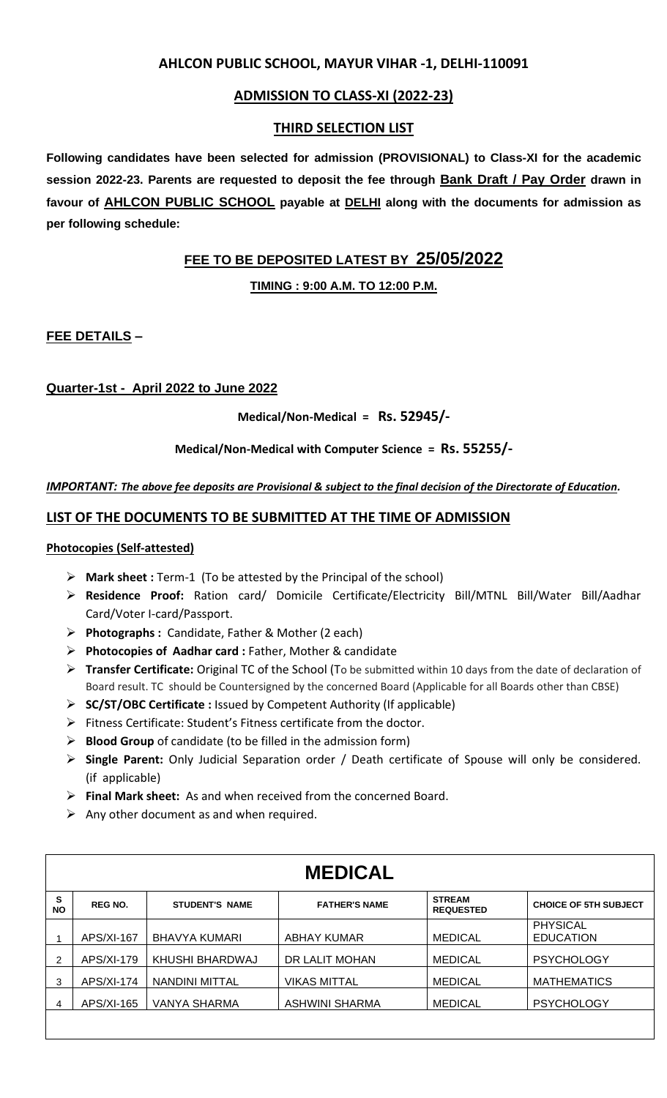# **AHLCON PUBLIC SCHOOL, MAYUR VIHAR -1, DELHI-110091**

# **ADMISSION TO CLASS-XI (2022-23)**

## **THIRD SELECTION LIST**

**Following candidates have been selected for admission (PROVISIONAL) to Class-XI for the academic session 2022-23. Parents are requested to deposit the fee through Bank Draft / Pay Order drawn in favour of AHLCON PUBLIC SCHOOL payable at DELHI along with the documents for admission as per following schedule:**

# **FEE TO BE DEPOSITED LATEST BY 25/05/2022**

**TIMING : 9:00 A.M. TO 12:00 P.M.**

**FEE DETAILS –** 

## **Quarter-1st - April 2022 to June 2022**

**Medical/Non-Medical = Rs. 52945/-**

**Medical/Non-Medical with Computer Science = Rs. 55255/-**

#### *IMPORTANT: The above fee deposits are Provisional & subject to the final decision of the Directorate of Education.*

## **LIST OF THE DOCUMENTS TO BE SUBMITTED AT THE TIME OF ADMISSION**

#### **Photocopies (Self-attested)**

- ➢ **Mark sheet :** Term-1 (To be attested by the Principal of the school)
- ➢ **Residence Proof:** Ration card/ Domicile Certificate/Electricity Bill/MTNL Bill/Water Bill/Aadhar Card/Voter I-card/Passport.
- ➢ **Photographs :** Candidate, Father & Mother (2 each)
- ➢ **Photocopies of Aadhar card :** Father, Mother & candidate
- ➢ **Transfer Certificate:** Original TC of the School (To be submitted within 10 days from the date of declaration of Board result. TC should be Countersigned by the concerned Board (Applicable for all Boards other than CBSE)
- ➢ **SC/ST/OBC Certificate :** Issued by Competent Authority (If applicable)
- ➢ Fitness Certificate: Student's Fitness certificate from the doctor.
- ➢ **Blood Group** of candidate (to be filled in the admission form)
- ➢ **Single Parent:** Only Judicial Separation order / Death certificate of Spouse will only be considered. (if applicable)
- ➢ **Final Mark sheet:** As and when received from the concerned Board.
- $\triangleright$  Any other document as and when required.

| <b>MEDICAL</b> |                |                       |                      |                                   |                                     |  |  |  |
|----------------|----------------|-----------------------|----------------------|-----------------------------------|-------------------------------------|--|--|--|
| s<br><b>NO</b> | <b>REG NO.</b> | <b>STUDENT'S NAME</b> | <b>FATHER'S NAME</b> | <b>STREAM</b><br><b>REQUESTED</b> | <b>CHOICE OF 5TH SUBJECT</b>        |  |  |  |
|                | $APS/XI-167$   | BHAVYA KUMARI         | ABHAY KUMAR          | <b>MEDICAL</b>                    | <b>PHYSICAL</b><br><b>EDUCATION</b> |  |  |  |
|                | APS/XI-179     | KHUSHI BHARDWAJ       | DR LALIT MOHAN       | <b>MEDICAL</b>                    | <b>PSYCHOLOGY</b>                   |  |  |  |
| 3              | $APS/XI-174$   | NANDINI MITTAL        | <b>VIKAS MITTAL</b>  | <b>MEDICAL</b>                    | <b>MATHEMATICS</b>                  |  |  |  |
| 4              | $APS/XI-165$   | VANYA SHARMA          | ASHWINI SHARMA       | <b>MEDICAL</b>                    | <b>PSYCHOLOGY</b>                   |  |  |  |
|                |                |                       |                      |                                   |                                     |  |  |  |